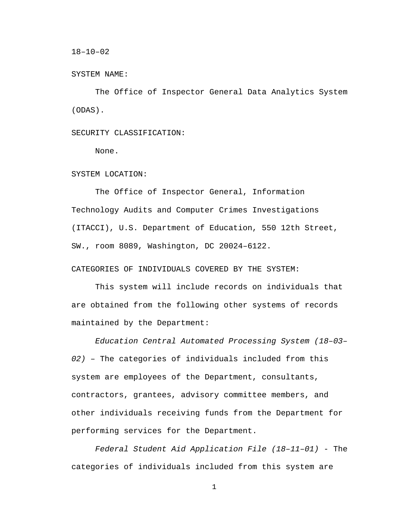18–10–02

SYSTEM NAME:

The Office of Inspector General Data Analytics System (ODAS).

SECURITY CLASSIFICATION:

None.

SYSTEM LOCATION:

The Office of Inspector General, Information Technology Audits and Computer Crimes Investigations (ITACCI), U.S. Department of Education, 550 12th Street, SW., room 8089, Washington, DC 20024–6122.

CATEGORIES OF INDIVIDUALS COVERED BY THE SYSTEM:

This system will include records on individuals that are obtained from the following other systems of records maintained by the Department:

*Education Central Automated Processing System (18–03– 02)* – The categories of individuals included from this system are employees of the Department, consultants, contractors, grantees, advisory committee members, and other individuals receiving funds from the Department for performing services for the Department.

*Federal Student Aid Application File (18–11–01)* - The categories of individuals included from this system are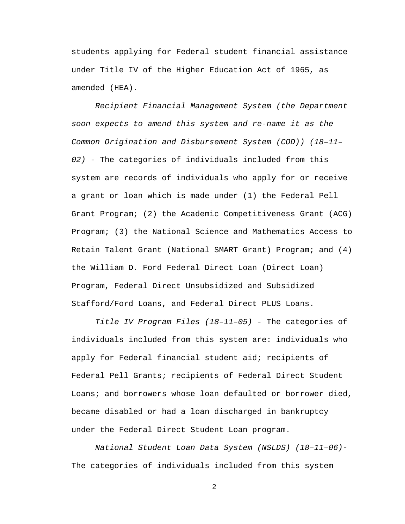students applying for Federal student financial assistance under Title IV of the Higher Education Act of 1965, as amended (HEA).

*Recipient Financial Management System (the Department soon expects to amend this system and re-name it as the Common Origination and Disbursement System (COD)) (18–11– 02) -* The categories of individuals included from this system are records of individuals who apply for or receive a grant or loan which is made under (1) the Federal Pell Grant Program; (2) the Academic Competitiveness Grant (ACG) Program; (3) the National Science and Mathematics Access to Retain Talent Grant (National SMART Grant) Program; and (4) the William D. Ford Federal Direct Loan (Direct Loan) Program, Federal Direct Unsubsidized and Subsidized Stafford/Ford Loans, and Federal Direct PLUS Loans.

*Title IV Program Files (18–11–05) -* The categories of individuals included from this system are: individuals who apply for Federal financial student aid; recipients of Federal Pell Grants; recipients of Federal Direct Student Loans; and borrowers whose loan defaulted or borrower died, became disabled or had a loan discharged in bankruptcy under the Federal Direct Student Loan program.

*National Student Loan Data System (NSLDS) (18–11–06)-* The categories of individuals included from this system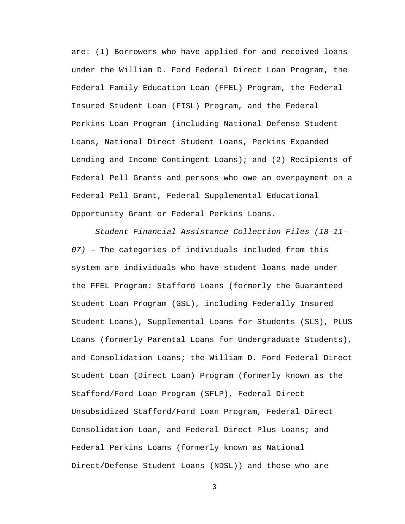are: (1) Borrowers who have applied for and received loans under the William D. Ford Federal Direct Loan Program, the Federal Family Education Loan (FFEL) Program, the Federal Insured Student Loan (FISL) Program, and the Federal Perkins Loan Program (including National Defense Student Loans, National Direct Student Loans, Perkins Expanded Lending and Income Contingent Loans); and (2) Recipients of Federal Pell Grants and persons who owe an overpayment on a Federal Pell Grant, Federal Supplemental Educational Opportunity Grant or Federal Perkins Loans.

*Student Financial Assistance Collection Files (18–11– 07)* - The categories of individuals included from this system are individuals who have student loans made under the FFEL Program: Stafford Loans (formerly the Guaranteed Student Loan Program (GSL), including Federally Insured Student Loans), Supplemental Loans for Students (SLS), PLUS Loans (formerly Parental Loans for Undergraduate Students), and Consolidation Loans; the William D. Ford Federal Direct Student Loan (Direct Loan) Program (formerly known as the Stafford/Ford Loan Program (SFLP), Federal Direct Unsubsidized Stafford/Ford Loan Program, Federal Direct Consolidation Loan, and Federal Direct Plus Loans; and Federal Perkins Loans (formerly known as National Direct/Defense Student Loans (NDSL)) and those who are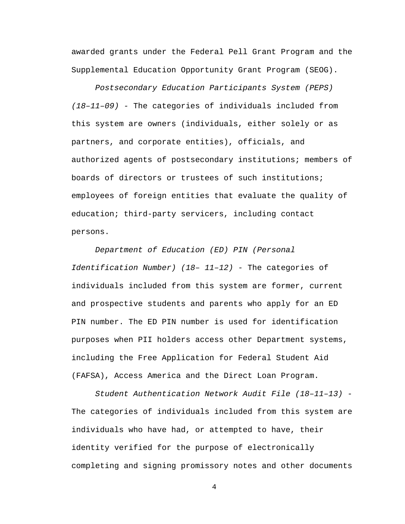awarded grants under the Federal Pell Grant Program and the Supplemental Education Opportunity Grant Program (SEOG).

*Postsecondary Education Participants System (PEPS) (18–11–09) -* The categories of individuals included from this system are owners (individuals, either solely or as partners, and corporate entities), officials, and authorized agents of postsecondary institutions; members of boards of directors or trustees of such institutions; employees of foreign entities that evaluate the quality of education; third-party servicers, including contact persons.

*Department of Education (ED) PIN (Personal Identification Number) (18– 11–12) -* The categories of individuals included from this system are former, current and prospective students and parents who apply for an ED PIN number. The ED PIN number is used for identification purposes when PII holders access other Department systems, including the Free Application for Federal Student Aid (FAFSA), Access America and the Direct Loan Program.

*Student Authentication Network Audit File (18–11–13) -* The categories of individuals included from this system are individuals who have had, or attempted to have, their identity verified for the purpose of electronically completing and signing promissory notes and other documents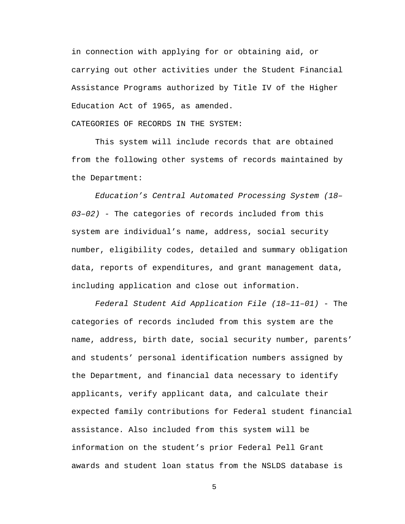in connection with applying for or obtaining aid, or carrying out other activities under the Student Financial Assistance Programs authorized by Title IV of the Higher Education Act of 1965, as amended.

CATEGORIES OF RECORDS IN THE SYSTEM:

This system will include records that are obtained from the following other systems of records maintained by the Department:

*Education's Central Automated Processing System (18– 03–02) -* The categories of records included from this system are individual's name, address, social security number, eligibility codes, detailed and summary obligation data, reports of expenditures, and grant management data, including application and close out information.

*Federal Student Aid Application File (18–11–01)* - The categories of records included from this system are the name, address, birth date, social security number, parents' and students' personal identification numbers assigned by the Department, and financial data necessary to identify applicants, verify applicant data, and calculate their expected family contributions for Federal student financial assistance. Also included from this system will be information on the student's prior Federal Pell Grant awards and student loan status from the NSLDS database is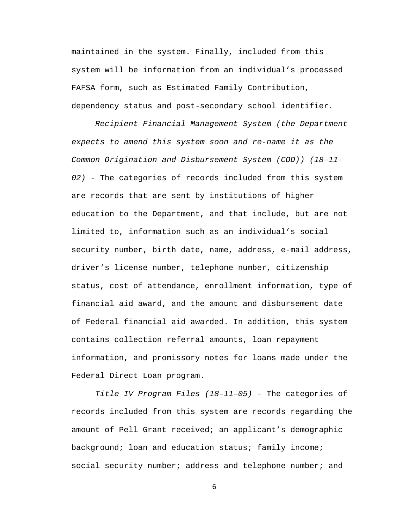maintained in the system. Finally, included from this system will be information from an individual's processed FAFSA form, such as Estimated Family Contribution, dependency status and post-secondary school identifier.

*Recipient Financial Management System (the Department expects to amend this system soon and re-name it as the Common Origination and Disbursement System (COD)) (18–11– 02)* - The categories of records included from this system are records that are sent by institutions of higher education to the Department, and that include, but are not limited to, information such as an individual's social security number, birth date, name, address, e-mail address, driver's license number, telephone number, citizenship status, cost of attendance, enrollment information, type of financial aid award, and the amount and disbursement date of Federal financial aid awarded. In addition, this system contains collection referral amounts, loan repayment information, and promissory notes for loans made under the Federal Direct Loan program.

*Title IV Program Files (18–11–05)* - The categories of records included from this system are records regarding the amount of Pell Grant received; an applicant's demographic background; loan and education status; family income; social security number; address and telephone number; and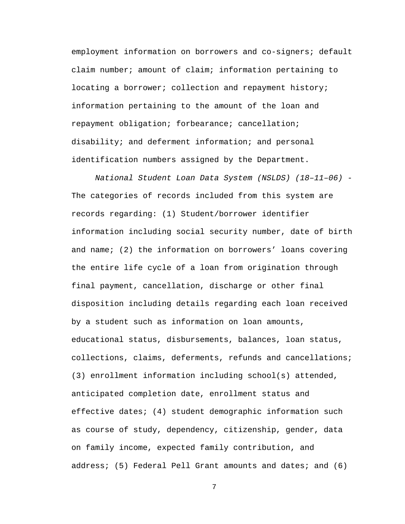employment information on borrowers and co-signers; default claim number; amount of claim; information pertaining to locating a borrower; collection and repayment history; information pertaining to the amount of the loan and repayment obligation; forbearance; cancellation; disability; and deferment information; and personal identification numbers assigned by the Department.

*National Student Loan Data System (NSLDS) (18–11–06) -* The categories of records included from this system are records regarding: (1) Student/borrower identifier information including social security number, date of birth and name; (2) the information on borrowers' loans covering the entire life cycle of a loan from origination through final payment, cancellation, discharge or other final disposition including details regarding each loan received by a student such as information on loan amounts, educational status, disbursements, balances, loan status, collections, claims, deferments, refunds and cancellations; (3) enrollment information including school(s) attended, anticipated completion date, enrollment status and effective dates; (4) student demographic information such as course of study, dependency, citizenship, gender, data on family income, expected family contribution, and address; (5) Federal Pell Grant amounts and dates; and (6)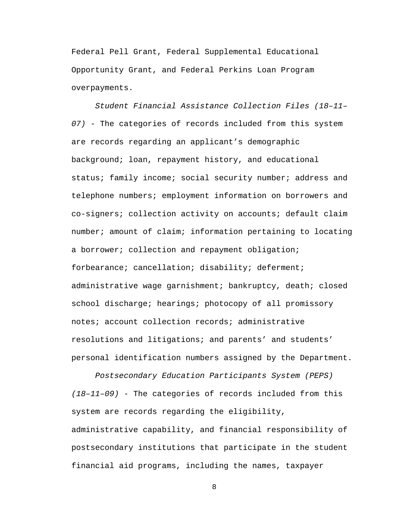Federal Pell Grant, Federal Supplemental Educational Opportunity Grant, and Federal Perkins Loan Program overpayments.

*Student Financial Assistance Collection Files (18–11– 07)* - The categories of records included from this system are records regarding an applicant's demographic background; loan, repayment history, and educational status; family income; social security number; address and telephone numbers; employment information on borrowers and co-signers; collection activity on accounts; default claim number; amount of claim; information pertaining to locating a borrower; collection and repayment obligation; forbearance; cancellation; disability; deferment; administrative wage garnishment; bankruptcy, death; closed school discharge; hearings; photocopy of all promissory notes; account collection records; administrative resolutions and litigations; and parents' and students' personal identification numbers assigned by the Department.

*Postsecondary Education Participants System (PEPS) (18–11–09)* - The categories of records included from this system are records regarding the eligibility, administrative capability, and financial responsibility of postsecondary institutions that participate in the student financial aid programs, including the names, taxpayer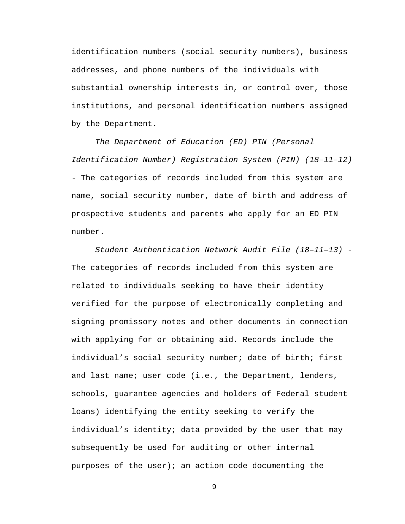identification numbers (social security numbers), business addresses, and phone numbers of the individuals with substantial ownership interests in, or control over, those institutions, and personal identification numbers assigned by the Department.

*The Department of Education (ED) PIN (Personal Identification Number) Registration System (PIN) (18–11–12)*  - The categories of records included from this system are name, social security number, date of birth and address of prospective students and parents who apply for an ED PIN number.

*Student Authentication Network Audit File (18–11–13) -* The categories of records included from this system are related to individuals seeking to have their identity verified for the purpose of electronically completing and signing promissory notes and other documents in connection with applying for or obtaining aid. Records include the individual's social security number; date of birth; first and last name; user code (i.e., the Department, lenders, schools, guarantee agencies and holders of Federal student loans) identifying the entity seeking to verify the individual's identity; data provided by the user that may subsequently be used for auditing or other internal purposes of the user); an action code documenting the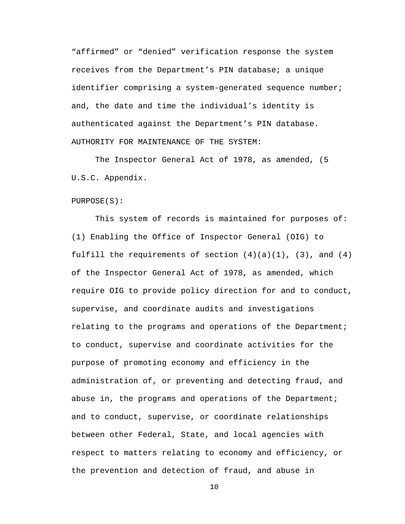"affirmed" or "denied" verification response the system receives from the Department's PIN database; a unique identifier comprising a system-generated sequence number; and, the date and time the individual's identity is authenticated against the Department's PIN database. AUTHORITY FOR MAINTENANCE OF THE SYSTEM:

The Inspector General Act of 1978, as amended, (5 U.S.C. Appendix.

PURPOSE(S):

This system of records is maintained for purposes of: (1) Enabling the Office of Inspector General (OIG) to fulfill the requirements of section  $(4)(a)(1)$ ,  $(3)$ , and  $(4)$ of the Inspector General Act of 1978, as amended, which require OIG to provide policy direction for and to conduct, supervise, and coordinate audits and investigations relating to the programs and operations of the Department; to conduct, supervise and coordinate activities for the purpose of promoting economy and efficiency in the administration of, or preventing and detecting fraud, and abuse in, the programs and operations of the Department; and to conduct, supervise, or coordinate relationships between other Federal, State, and local agencies with respect to matters relating to economy and efficiency, or the prevention and detection of fraud, and abuse in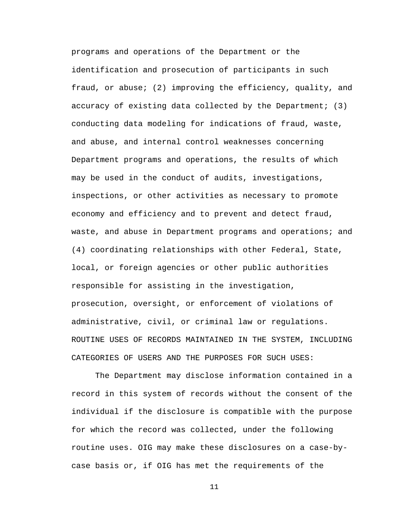programs and operations of the Department or the identification and prosecution of participants in such fraud, or abuse; (2) improving the efficiency, quality, and accuracy of existing data collected by the Department; (3) conducting data modeling for indications of fraud, waste, and abuse, and internal control weaknesses concerning Department programs and operations, the results of which may be used in the conduct of audits, investigations, inspections, or other activities as necessary to promote economy and efficiency and to prevent and detect fraud, waste, and abuse in Department programs and operations; and (4) coordinating relationships with other Federal, State, local, or foreign agencies or other public authorities responsible for assisting in the investigation, prosecution, oversight, or enforcement of violations of administrative, civil, or criminal law or regulations. ROUTINE USES OF RECORDS MAINTAINED IN THE SYSTEM, INCLUDING CATEGORIES OF USERS AND THE PURPOSES FOR SUCH USES:

The Department may disclose information contained in a record in this system of records without the consent of the individual if the disclosure is compatible with the purpose for which the record was collected, under the following routine uses. OIG may make these disclosures on a case-bycase basis or, if OIG has met the requirements of the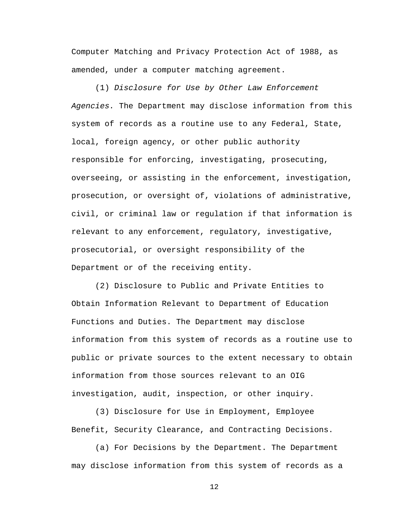Computer Matching and Privacy Protection Act of 1988, as amended, under a computer matching agreement.

(1) *Disclosure for Use by Other Law Enforcement Agencies.* The Department may disclose information from this system of records as a routine use to any Federal, State, local, foreign agency, or other public authority responsible for enforcing, investigating, prosecuting, overseeing, or assisting in the enforcement, investigation, prosecution, or oversight of, violations of administrative, civil, or criminal law or regulation if that information is relevant to any enforcement, regulatory, investigative, prosecutorial, or oversight responsibility of the Department or of the receiving entity.

(2) Disclosure to Public and Private Entities to Obtain Information Relevant to Department of Education Functions and Duties. The Department may disclose information from this system of records as a routine use to public or private sources to the extent necessary to obtain information from those sources relevant to an OIG investigation, audit, inspection, or other inquiry.

(3) Disclosure for Use in Employment, Employee Benefit, Security Clearance, and Contracting Decisions.

(a) For Decisions by the Department. The Department may disclose information from this system of records as a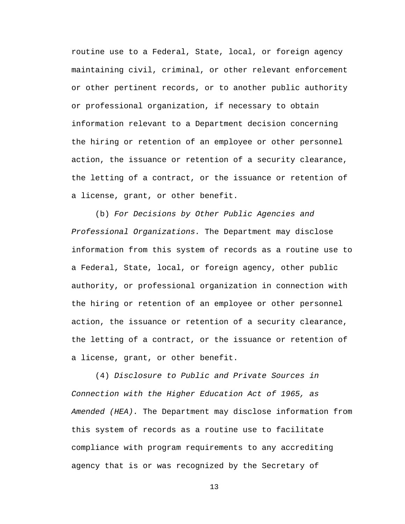routine use to a Federal, State, local, or foreign agency maintaining civil, criminal, or other relevant enforcement or other pertinent records, or to another public authority or professional organization, if necessary to obtain information relevant to a Department decision concerning the hiring or retention of an employee or other personnel action, the issuance or retention of a security clearance, the letting of a contract, or the issuance or retention of a license, grant, or other benefit.

(b) *For Decisions by Other Public Agencies and Professional Organizations.* The Department may disclose information from this system of records as a routine use to a Federal, State, local, or foreign agency, other public authority, or professional organization in connection with the hiring or retention of an employee or other personnel action, the issuance or retention of a security clearance, the letting of a contract, or the issuance or retention of a license, grant, or other benefit.

(4) *Disclosure to Public and Private Sources in Connection with the Higher Education Act of 1965, as Amended (HEA).* The Department may disclose information from this system of records as a routine use to facilitate compliance with program requirements to any accrediting agency that is or was recognized by the Secretary of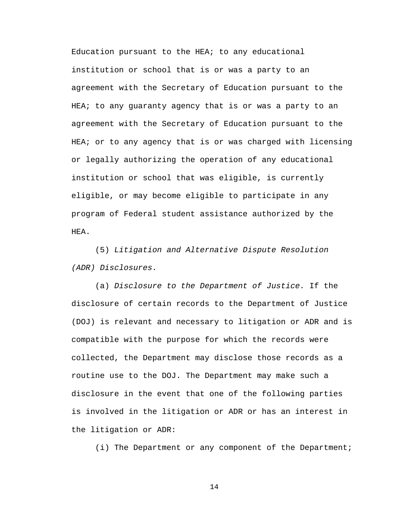Education pursuant to the HEA; to any educational institution or school that is or was a party to an agreement with the Secretary of Education pursuant to the HEA; to any guaranty agency that is or was a party to an agreement with the Secretary of Education pursuant to the HEA; or to any agency that is or was charged with licensing or legally authorizing the operation of any educational institution or school that was eligible, is currently eligible, or may become eligible to participate in any program of Federal student assistance authorized by the HEA.

(5) *Litigation and Alternative Dispute Resolution (ADR) Disclosures.* 

(a) *Disclosure to the Department of Justice.* If the disclosure of certain records to the Department of Justice (DOJ) is relevant and necessary to litigation or ADR and is compatible with the purpose for which the records were collected, the Department may disclose those records as a routine use to the DOJ. The Department may make such a disclosure in the event that one of the following parties is involved in the litigation or ADR or has an interest in the litigation or ADR:

(i) The Department or any component of the Department;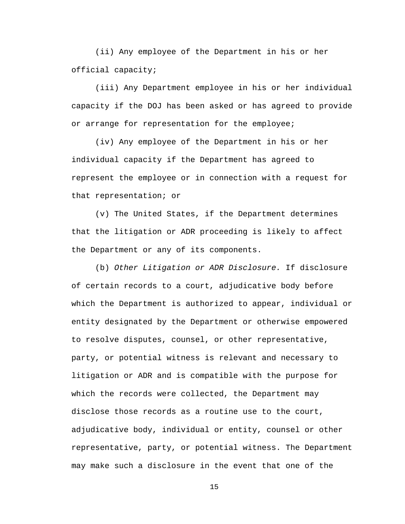(ii) Any employee of the Department in his or her official capacity;

(iii) Any Department employee in his or her individual capacity if the DOJ has been asked or has agreed to provide or arrange for representation for the employee;

(iv) Any employee of the Department in his or her individual capacity if the Department has agreed to represent the employee or in connection with a request for that representation; or

(v) The United States, if the Department determines that the litigation or ADR proceeding is likely to affect the Department or any of its components.

(b) *Other Litigation or ADR Disclosure.* If disclosure of certain records to a court, adjudicative body before which the Department is authorized to appear, individual or entity designated by the Department or otherwise empowered to resolve disputes, counsel, or other representative, party, or potential witness is relevant and necessary to litigation or ADR and is compatible with the purpose for which the records were collected, the Department may disclose those records as a routine use to the court, adjudicative body, individual or entity, counsel or other representative, party, or potential witness. The Department may make such a disclosure in the event that one of the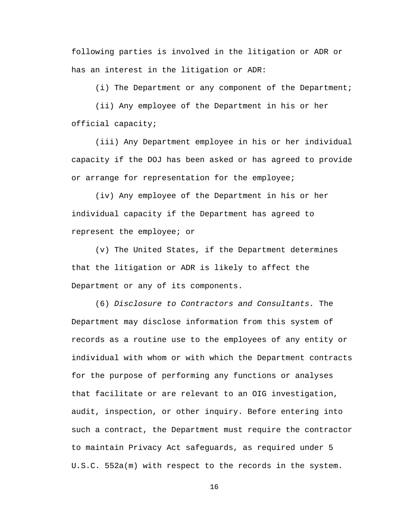following parties is involved in the litigation or ADR or has an interest in the litigation or ADR:

(i) The Department or any component of the Department;

(ii) Any employee of the Department in his or her official capacity;

(iii) Any Department employee in his or her individual capacity if the DOJ has been asked or has agreed to provide or arrange for representation for the employee;

(iv) Any employee of the Department in his or her individual capacity if the Department has agreed to represent the employee; or

(v) The United States, if the Department determines that the litigation or ADR is likely to affect the Department or any of its components.

(6) *Disclosure to Contractors and Consultants.* The Department may disclose information from this system of records as a routine use to the employees of any entity or individual with whom or with which the Department contracts for the purpose of performing any functions or analyses that facilitate or are relevant to an OIG investigation, audit, inspection, or other inquiry. Before entering into such a contract, the Department must require the contractor to maintain Privacy Act safeguards, as required under 5 U.S.C. 552a(m) with respect to the records in the system.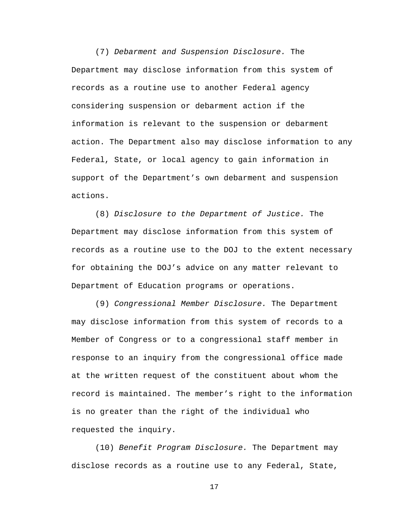(7) *Debarment and Suspension Disclosure.* The Department may disclose information from this system of records as a routine use to another Federal agency considering suspension or debarment action if the information is relevant to the suspension or debarment action. The Department also may disclose information to any Federal, State, or local agency to gain information in support of the Department's own debarment and suspension actions.

(8) *Disclosure to the Department of Justice.* The Department may disclose information from this system of records as a routine use to the DOJ to the extent necessary for obtaining the DOJ's advice on any matter relevant to Department of Education programs or operations.

(9) *Congressional Member Disclosure.* The Department may disclose information from this system of records to a Member of Congress or to a congressional staff member in response to an inquiry from the congressional office made at the written request of the constituent about whom the record is maintained. The member's right to the information is no greater than the right of the individual who requested the inquiry.

(10) *Benefit Program Disclosure.* The Department may disclose records as a routine use to any Federal, State,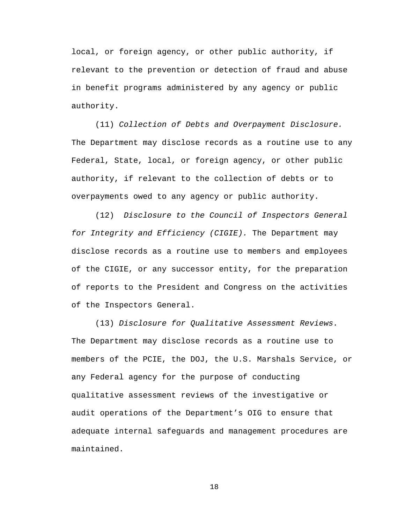local, or foreign agency, or other public authority, if relevant to the prevention or detection of fraud and abuse in benefit programs administered by any agency or public authority.

(11) *Collection of Debts and Overpayment Disclosure.*  The Department may disclose records as a routine use to any Federal, State, local, or foreign agency, or other public authority, if relevant to the collection of debts or to overpayments owed to any agency or public authority.

(12) *Disclosure to the Council of Inspectors General for Integrity and Efficiency (CIGIE).* The Department may disclose records as a routine use to members and employees of the CIGIE, or any successor entity, for the preparation of reports to the President and Congress on the activities of the Inspectors General.

(13) *Disclosure for Qualitative Assessment Reviews.*  The Department may disclose records as a routine use to members of the PCIE, the DOJ, the U.S. Marshals Service, or any Federal agency for the purpose of conducting qualitative assessment reviews of the investigative or audit operations of the Department's OIG to ensure that adequate internal safeguards and management procedures are maintained.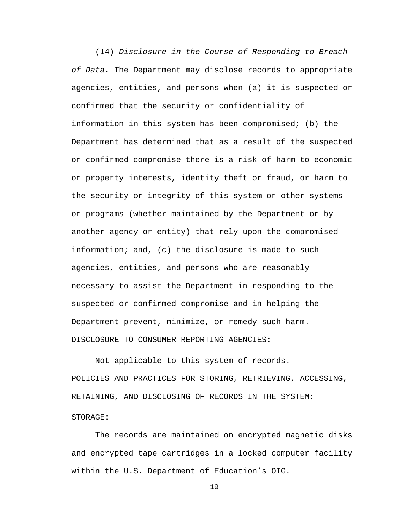(14) *Disclosure in the Course of Responding to Breach of Data.* The Department may disclose records to appropriate agencies, entities, and persons when (a) it is suspected or confirmed that the security or confidentiality of information in this system has been compromised; (b) the Department has determined that as a result of the suspected or confirmed compromise there is a risk of harm to economic or property interests, identity theft or fraud, or harm to the security or integrity of this system or other systems or programs (whether maintained by the Department or by another agency or entity) that rely upon the compromised information; and, (c) the disclosure is made to such agencies, entities, and persons who are reasonably necessary to assist the Department in responding to the suspected or confirmed compromise and in helping the Department prevent, minimize, or remedy such harm. DISCLOSURE TO CONSUMER REPORTING AGENCIES:

Not applicable to this system of records. POLICIES AND PRACTICES FOR STORING, RETRIEVING, ACCESSING, RETAINING, AND DISCLOSING OF RECORDS IN THE SYSTEM: STORAGE:

The records are maintained on encrypted magnetic disks and encrypted tape cartridges in a locked computer facility within the U.S. Department of Education's OIG.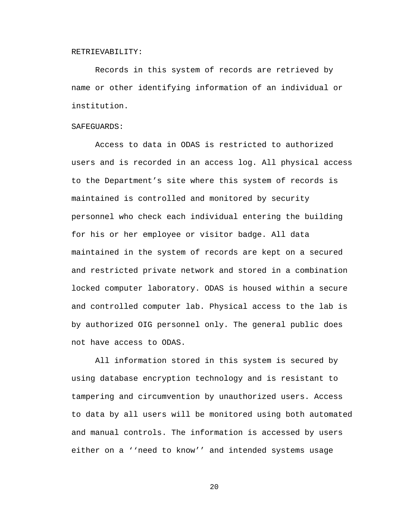#### RETRIEVABILITY:

Records in this system of records are retrieved by name or other identifying information of an individual or institution.

### SAFEGUARDS:

 Access to data in ODAS is restricted to authorized users and is recorded in an access log. All physical access to the Department's site where this system of records is maintained is controlled and monitored by security personnel who check each individual entering the building for his or her employee or visitor badge. All data maintained in the system of records are kept on a secured and restricted private network and stored in a combination locked computer laboratory. ODAS is housed within a secure and controlled computer lab. Physical access to the lab is by authorized OIG personnel only. The general public does not have access to ODAS.

All information stored in this system is secured by using database encryption technology and is resistant to tampering and circumvention by unauthorized users. Access to data by all users will be monitored using both automated and manual controls. The information is accessed by users either on a ''need to know'' and intended systems usage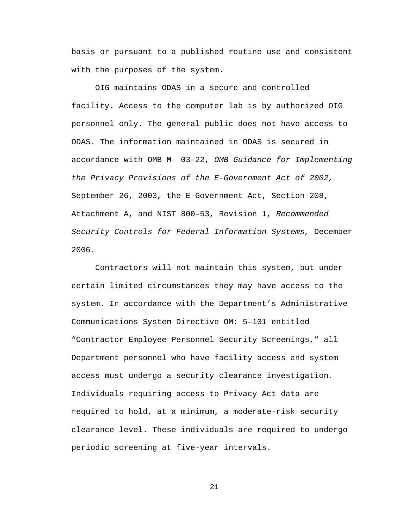basis or pursuant to a published routine use and consistent with the purposes of the system.

OIG maintains ODAS in a secure and controlled facility. Access to the computer lab is by authorized OIG personnel only. The general public does not have access to ODAS. The information maintained in ODAS is secured in accordance with OMB M– 03–22, *OMB Guidance for Implementing the Privacy Provisions of the E-Government Act of 2002,*  September 26, 2003, the E-Government Act, Section 208, Attachment A, and NIST 800–53, Revision 1, *Recommended Security Controls for Federal Information Systems,* December 2006.

Contractors will not maintain this system, but under certain limited circumstances they may have access to the system. In accordance with the Department's Administrative Communications System Directive OM: 5–101 entitled "Contractor Employee Personnel Security Screenings," all Department personnel who have facility access and system access must undergo a security clearance investigation. Individuals requiring access to Privacy Act data are required to hold, at a minimum, a moderate-risk security clearance level. These individuals are required to undergo periodic screening at five-year intervals.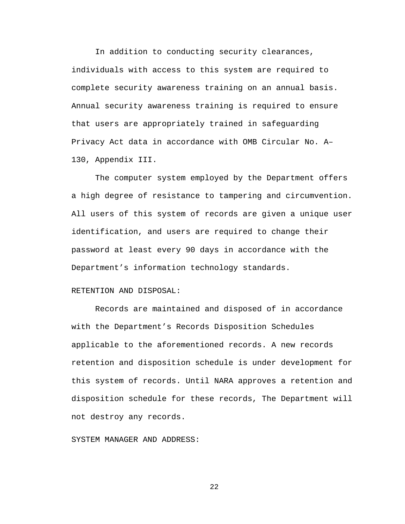In addition to conducting security clearances, individuals with access to this system are required to complete security awareness training on an annual basis. Annual security awareness training is required to ensure that users are appropriately trained in safeguarding Privacy Act data in accordance with OMB Circular No. A– 130, Appendix III.

The computer system employed by the Department offers a high degree of resistance to tampering and circumvention. All users of this system of records are given a unique user identification, and users are required to change their password at least every 90 days in accordance with the Department's information technology standards.

## RETENTION AND DISPOSAL:

Records are maintained and disposed of in accordance with the Department's Records Disposition Schedules applicable to the aforementioned records. A new records retention and disposition schedule is under development for this system of records. Until NARA approves a retention and disposition schedule for these records, The Department will not destroy any records.

#### SYSTEM MANAGER AND ADDRESS: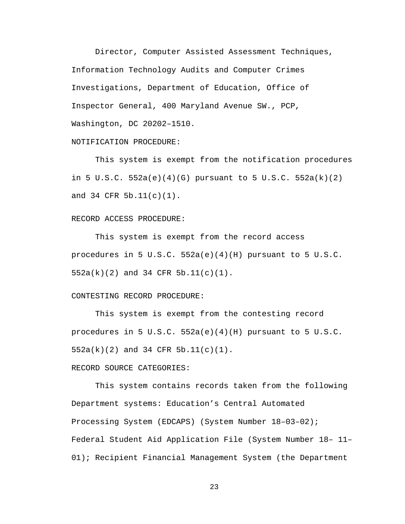Director, Computer Assisted Assessment Techniques, Information Technology Audits and Computer Crimes Investigations, Department of Education, Office of Inspector General, 400 Maryland Avenue SW., PCP, Washington, DC 20202–1510.

# NOTIFICATION PROCEDURE:

This system is exempt from the notification procedures in 5 U.S.C. 552a(e)(4)(G) pursuant to 5 U.S.C. 552a(k)(2) and 34 CFR 5b.11(c)(1).

## RECORD ACCESS PROCEDURE:

This system is exempt from the record access procedures in 5 U.S.C.  $552a(e)(4)(H)$  pursuant to 5 U.S.C. 552a(k)(2) and 34 CFR 5b.11(c)(1).

### CONTESTING RECORD PROCEDURE:

This system is exempt from the contesting record procedures in 5 U.S.C.  $552a(e)(4)(H)$  pursuant to 5 U.S.C. 552a(k)(2) and 34 CFR 5b.11(c)(1).

# RECORD SOURCE CATEGORIES:

This system contains records taken from the following Department systems: Education's Central Automated Processing System (EDCAPS) (System Number 18–03–02); Federal Student Aid Application File (System Number 18– 11– 01); Recipient Financial Management System (the Department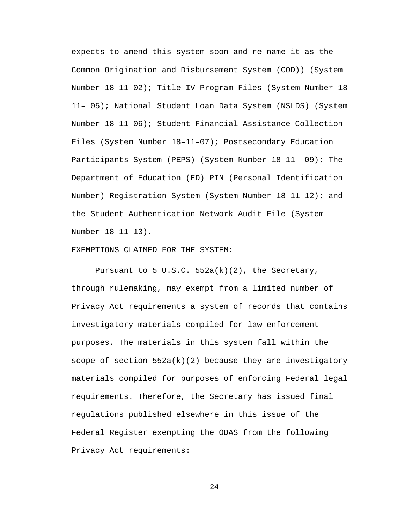expects to amend this system soon and re-name it as the Common Origination and Disbursement System (COD)) (System Number 18–11–02); Title IV Program Files (System Number 18– 11– 05); National Student Loan Data System (NSLDS) (System Number 18–11–06); Student Financial Assistance Collection Files (System Number 18–11–07); Postsecondary Education Participants System (PEPS) (System Number 18–11– 09); The Department of Education (ED) PIN (Personal Identification Number) Registration System (System Number 18–11–12); and the Student Authentication Network Audit File (System Number 18–11–13).

### EXEMPTIONS CLAIMED FOR THE SYSTEM:

Pursuant to 5 U.S.C.  $552a(k)(2)$ , the Secretary, through rulemaking, may exempt from a limited number of Privacy Act requirements a system of records that contains investigatory materials compiled for law enforcement purposes. The materials in this system fall within the scope of section  $552a(k)(2)$  because they are investigatory materials compiled for purposes of enforcing Federal legal requirements. Therefore, the Secretary has issued final regulations published elsewhere in this issue of the Federal Register exempting the ODAS from the following Privacy Act requirements: